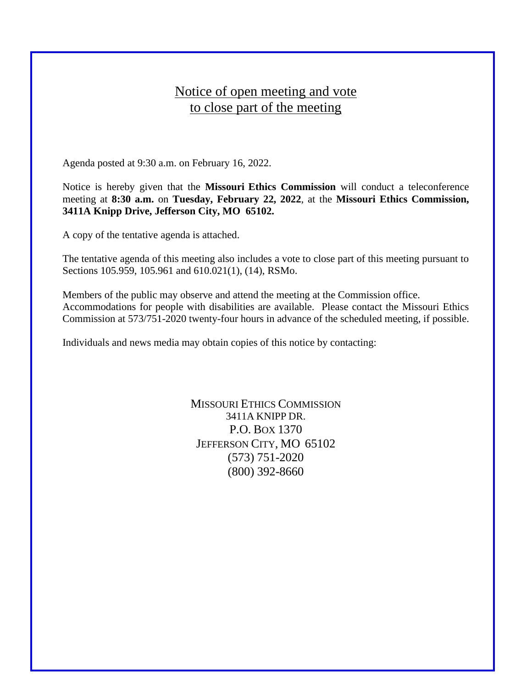## Notice of open meeting and vote to close part of the meeting

Agenda posted at 9:30 a.m. on February 16, 2022.

Notice is hereby given that the **Missouri Ethics Commission** will conduct a teleconference meeting at **8:30 a.m.** on **Tuesday, February 22, 2022**, at the **Missouri Ethics Commission, 3411A Knipp Drive, Jefferson City, MO 65102.**

A copy of the tentative agenda is attached.

The tentative agenda of this meeting also includes a vote to close part of this meeting pursuant to Sections 105.959, 105.961 and 610.021(1), (14), RSMo.

Members of the public may observe and attend the meeting at the Commission office. Accommodations for people with disabilities are available. Please contact the Missouri Ethics Commission at 573/751-2020 twenty-four hours in advance of the scheduled meeting, if possible.

Individuals and news media may obtain copies of this notice by contacting:

MISSOURI ETHICS COMMISSION 3411A KNIPP DR. P.O. BOX 1370 JEFFERSON CITY, MO 65102 (573) 751-2020 (800) 392-8660